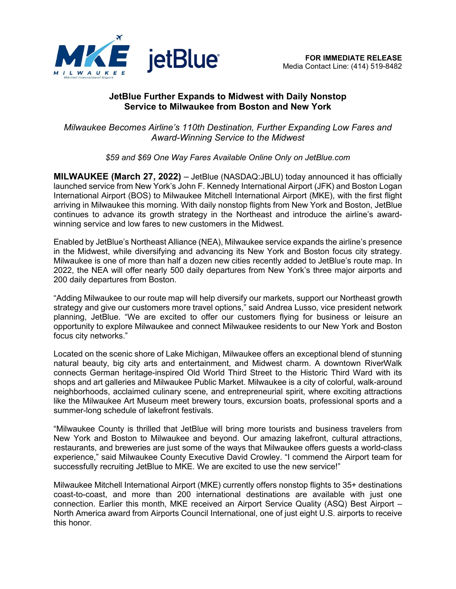

# **JetBlue Further Expands to Midwest with Daily Nonstop Service to Milwaukee from Boston and New York**

*Milwaukee Becomes Airline's 110th Destination, Further Expanding Low Fares and Award-Winning Service to the Midwest*

*\$59 and \$69 One Way Fares Available Online Only on JetBlue.com*

**MILWAUKEE (March 27, 2022)** – JetBlue (NASDAQ:JBLU) today announced it has officially launched service from New York's John F. Kennedy International Airport (JFK) and Boston Logan International Airport (BOS) to Milwaukee Mitchell International Airport (MKE), with the first flight arriving in Milwaukee this morning. With daily nonstop flights from New York and Boston, JetBlue continues to advance its growth strategy in the Northeast and introduce the airline's awardwinning service and low fares to new customers in the Midwest.

Enabled by JetBlue's Northeast Alliance (NEA), Milwaukee service expands the airline's presence in the Midwest, while diversifying and advancing its New York and Boston focus city strategy. Milwaukee is one of more than half a dozen new cities recently added to JetBlue's route map. In 2022, the NEA will offer nearly 500 daily departures from New York's three major airports and 200 daily departures from Boston.

"Adding Milwaukee to our route map will help diversify our markets, support our Northeast growth strategy and give our customers more travel options," said Andrea Lusso, vice president network planning, JetBlue. "We are excited to offer our customers flying for business or leisure an opportunity to explore Milwaukee and connect Milwaukee residents to our New York and Boston focus city networks."

Located on the scenic shore of Lake Michigan, Milwaukee offers an exceptional blend of stunning natural beauty, big city arts and entertainment, and Midwest charm. A downtown RiverWalk connects German heritage-inspired Old World Third Street to the Historic Third Ward with its shops and art galleries and Milwaukee Public Market. Milwaukee is a city of colorful, walk-around neighborhoods, acclaimed culinary scene, and entrepreneurial spirit, where exciting attractions like the Milwaukee Art Museum meet brewery tours, excursion boats, professional sports and a summer-long schedule of lakefront festivals.

"Milwaukee County is thrilled that JetBlue will bring more tourists and business travelers from New York and Boston to Milwaukee and beyond. Our amazing lakefront, cultural attractions, restaurants, and breweries are just some of the ways that Milwaukee offers guests a world-class experience," said Milwaukee County Executive David Crowley. "I commend the Airport team for successfully recruiting JetBlue to MKE. We are excited to use the new service!"

Milwaukee Mitchell International Airport (MKE) currently offers nonstop flights to 35+ destinations coast-to-coast, and more than 200 international destinations are available with just one connection. Earlier this month, MKE received an Airport Service Quality (ASQ) Best Airport – North America award from Airports Council International, one of just eight U.S. airports to receive this honor.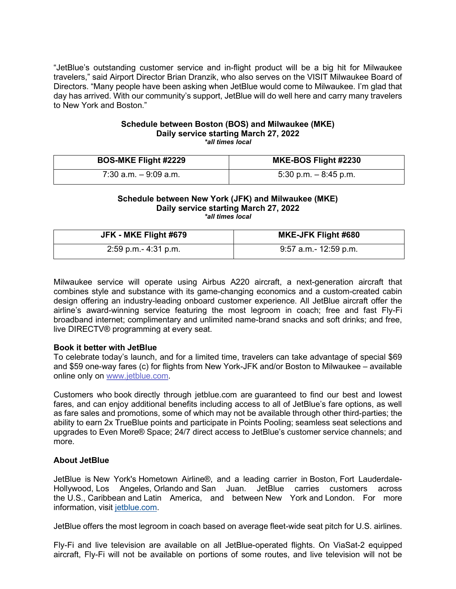"JetBlue's outstanding customer service and in-flight product will be a big hit for Milwaukee travelers," said Airport Director Brian Dranzik, who also serves on the VISIT Milwaukee Board of Directors. "Many people have been asking when JetBlue would come to Milwaukee. I'm glad that day has arrived. With our community's support, JetBlue will do well here and carry many travelers to New York and Boston."

# **Schedule between Boston (BOS) and Milwaukee (MKE) Daily service starting March 27, 2022**

*\*all times local* 

| <b>BOS-MKE Flight #2229</b> | <b>MKE-BOS Flight #2230</b> |
|-----------------------------|-----------------------------|
| $7:30$ a.m. $-9:09$ a.m.    | 5:30 p.m. $-$ 8:45 p.m.     |

#### **Schedule between New York (JFK) and Milwaukee (MKE) Daily service starting March 27, 2022** *\*all times local*

| JFK - MKE Flight #679 | <b>MKE-JFK Flight #680</b> |
|-----------------------|----------------------------|
| 2:59 p.m.- 4:31 p.m.  | 9:57 a.m.- 12:59 p.m.      |

Milwaukee service will operate using Airbus A220 aircraft, a next-generation aircraft that combines style and substance with its game-changing economics and a custom-created cabin design offering an industry-leading onboard customer experience. All JetBlue aircraft offer the airline's award-winning service featuring the most legroom in coach; free and fast Fly-Fi broadband internet; complimentary and unlimited name-brand snacks and soft drinks; and free, live DIRECTV® programming at every seat.

### **Book it better with JetBlue**

To celebrate today's launch, and for a limited time, travelers can take advantage of special \$69 and \$59 one-way fares (c) for flights from New York-JFK and/or Boston to Milwaukee – available online only on [www.jetblue.com.](http://www.jetblue.com/)

Customers who book directly through jetblue.com are guaranteed to find our best and lowest fares, and can enjoy additional benefits including access to all of JetBlue's fare options, as well as fare sales and promotions, some of which may not be available through other third-parties; the ability to earn 2x TrueBlue points and participate in Points Pooling; seamless seat selections and upgrades to Even More® Space; 24/7 direct access to JetBlue's customer service channels; and more.

## **About JetBlue**

JetBlue is New York's Hometown Airline®, and a leading carrier in Boston, Fort Lauderdale-Hollywood, Los Angeles, Orlando and San Juan. JetBlue carries customers across the U.S., Caribbean and Latin America, and between New York and London. For more information, visit [jetblue.com.](https://cts.businesswire.com/ct/CT?id=smartlink&url=http%3A%2F%2Fwww.jetblue.com%2F&esheet=52518631&newsitemid=20211031005021&lan=en-US&anchor=jetblue.com&index=2&md5=30e01693bd45aaf3f5ad52b9b7c8bd12)

JetBlue offers the most legroom in coach based on average fleet-wide seat pitch for U.S. airlines.

Fly-Fi and live television are available on all JetBlue-operated flights. On ViaSat-2 equipped aircraft, Fly-Fi will not be available on portions of some routes, and live television will not be